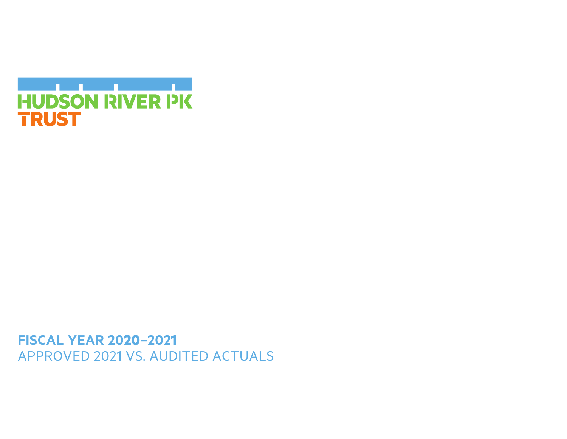

**FISCAL YEAR 2020-2021** APPROVED 2021 VS. AUDITED ACTUALS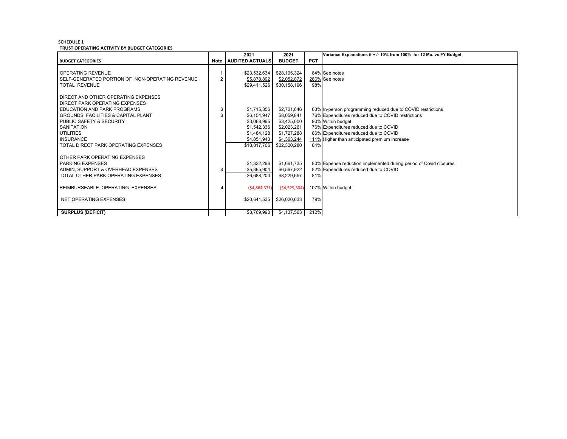## **SCHEDULE 1 TRUST OPERATING ACTIVITY BY BUDGET CATEGORIES**

|                                                 |   | 2021                 | 2021           |            | Variance Explanations if + /- 10% from 100% for 12 Mo. vs FY Budget |
|-------------------------------------------------|---|----------------------|----------------|------------|---------------------------------------------------------------------|
| <b>BUDGET CATEGORIES</b>                        |   | Note AUDITED ACTUALS | <b>BUDGET</b>  | <b>PCT</b> |                                                                     |
|                                                 |   |                      |                |            |                                                                     |
| OPERATING REVENUE                               |   | \$23.532.634         | \$28,105,324   |            | 84% See notes                                                       |
| SELF-GENERATED PORTION OF NON-OPERATING REVENUE | 2 | \$5,878,892          | \$2,052,872    |            | 286% See notes                                                      |
| <b>TOTAL REVENUE</b>                            |   | \$29,411,526         | \$30,158,196   | 98%        |                                                                     |
|                                                 |   |                      |                |            |                                                                     |
| DIRECT AND OTHER OPERATING EXPENSES             |   |                      |                |            |                                                                     |
| DIRECT PARK OPERATING EXPENSES                  |   |                      |                |            |                                                                     |
| EDUCATION AND PARK PROGRAMS                     | 3 | \$1,715,356          | \$2,721,646    |            | 63% In-person programming reduced due to COVID restrictions         |
| GROUNDS, FACILITIES & CAPITAL PLANT             |   | \$6,154,947          | \$8,059,841    |            | 76% Expenditures reduced due to COVID restrictions                  |
| PUBLIC SAFETY & SECURITY                        |   | \$3,068,995          | \$3,425,000    |            | 90% Within budget                                                   |
| <b>SANITATION</b>                               |   | \$1,542,336          | \$2,023,261    |            | 76% Expenditures reduced due to COVID                               |
| <b>UTILITIES</b>                                |   | \$1,484,128          | \$1,727,288    |            | 86% Expenditures reduced due to COVID                               |
| <b>INSURANCE</b>                                |   | \$4,851,943          | \$4,363,244    |            | 111% Higher than anticipated premium increase                       |
| TOTAL DIRECT PARK OPERATING EXPENSES            |   | \$18,817,706         | \$22,320,280   | 84%        |                                                                     |
|                                                 |   |                      |                |            |                                                                     |
| OTHER PARK OPERATING EXPENSES                   |   |                      |                |            |                                                                     |
| <b>PARKING EXPENSES</b>                         |   | \$1,322,296          | \$1,661,735    |            | 80% Expense reduction implemented during period of Covid closures   |
| ADMIN. SUPPORT & OVERHEAD EXPENSES              | 3 | \$5,365,904          | \$6,567,922    |            | 82% Expenditures reduced due to COVID                               |
| TOTAL OTHER PARK OPERATING EXPENSES             |   | \$6,688,200          | \$8,229,657    | 81%        |                                                                     |
|                                                 |   |                      |                |            |                                                                     |
| REIMBURSEABLE OPERATING EXPENSES                |   | (54,864,371)         | (54, 529, 304) |            | 107% Within budget                                                  |
|                                                 |   |                      |                |            |                                                                     |
| NET OPERATING EXPENSES                          |   | \$20,641,535         | \$26,020,633   | 79%        |                                                                     |
|                                                 |   |                      |                |            |                                                                     |
| <b>SURPLUS (DEFICIT)</b>                        |   | \$8,769,990          | \$4,137,563    | 212%       |                                                                     |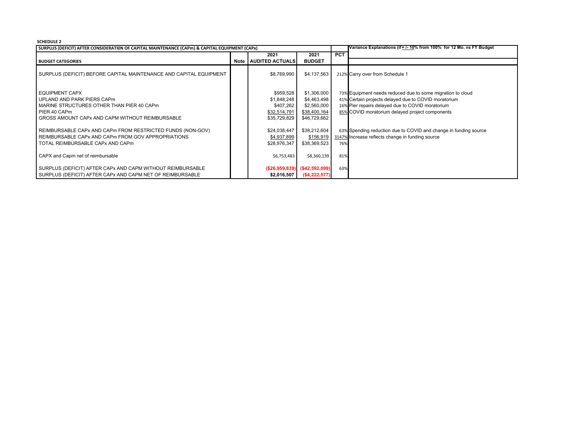## **SCHEDULE 2**

| SURPLUS (DEFICIT) AFTER CONSIDERATION OF CAPITAL MAINTENANCE (CAPm) & CAPITAL EQUIPMENT (CAPx)                                                                                                                                                                                          |  |                                                                                                      |                                                                                                        |     | Variance Explanations (if + /- 10% from 100% for 12 Mo. vs FY Budget                                                                                                                                                                                                                                                                              |
|-----------------------------------------------------------------------------------------------------------------------------------------------------------------------------------------------------------------------------------------------------------------------------------------|--|------------------------------------------------------------------------------------------------------|--------------------------------------------------------------------------------------------------------|-----|---------------------------------------------------------------------------------------------------------------------------------------------------------------------------------------------------------------------------------------------------------------------------------------------------------------------------------------------------|
|                                                                                                                                                                                                                                                                                         |  | 2021                                                                                                 | 2021                                                                                                   | PCT |                                                                                                                                                                                                                                                                                                                                                   |
| <b>BUDGET CATEGORIES</b>                                                                                                                                                                                                                                                                |  | Note   AUDITED ACTUALS                                                                               | <b>BUDGET</b>                                                                                          |     |                                                                                                                                                                                                                                                                                                                                                   |
| SURPLUS (DEFICIT) BEFORE CAPITAL MAINTENANCE AND CAPITAL EQUIPMENT                                                                                                                                                                                                                      |  | \$8,769,990                                                                                          | \$4,137,563                                                                                            |     | 212% Carry over from Schedule 1                                                                                                                                                                                                                                                                                                                   |
| <b>EQUIPMENT CAPX</b><br>UPLAND AND PARK PIERS CAPm<br>MARINE STRUCTURES OTHER THAN PIER 40 CAPm<br>PIER 40 CAPm<br>GROSS AMOUNT CAPx AND CAPM WITHOUT REIMBURSABLE<br>REIMBURSABLE CAPx AND CAPm FROM RESTRICTED FUNDS (NON-GOV)<br>REIMBURSABLE CAPx AND CAPm FROM GOV APPROPRIATIONS |  | \$959,528<br>\$1,848,248<br>\$407,262<br>\$32,514,791<br>\$35,729,829<br>\$24,038,447<br>\$4,937,899 | \$1,306,000<br>\$4,463,498<br>\$2,560,000<br>\$38,400,164<br>\$46,729,662<br>\$38,212,604<br>\$156,919 |     | 73% Equipment needs reduced due to some migration to cloud<br>41% Certain projects delayed due to COVID moratorium<br>16% Pier repairs delayed due to COVID moratorium<br>85% COVID moratorium delayed project components<br>63% Spending reduction due to COVID and change in funding source<br>3147% Increase reflects change in funding source |
| TOTAL REIMBURSABLE CAPX AND CAPm                                                                                                                                                                                                                                                        |  | \$28,976,347                                                                                         | \$38,369,523                                                                                           | 76% |                                                                                                                                                                                                                                                                                                                                                   |
| CAPX and Capm net of reimbursable                                                                                                                                                                                                                                                       |  | \$6,753,483                                                                                          | \$8,360,139                                                                                            | 81% |                                                                                                                                                                                                                                                                                                                                                   |
| SURPLUS (DEFICIT) AFTER CAPx AND CAPM WITHOUT REIMBURSABLE                                                                                                                                                                                                                              |  | ( \$26, 959, 839]                                                                                    | (\$42,592,099)                                                                                         | 63% |                                                                                                                                                                                                                                                                                                                                                   |
| SURPLUS (DEFICIT) AFTER CAPx AND CAPM NET OF REIMBURSABLE                                                                                                                                                                                                                               |  | \$2,016,507                                                                                          | (\$4,222,577)                                                                                          |     |                                                                                                                                                                                                                                                                                                                                                   |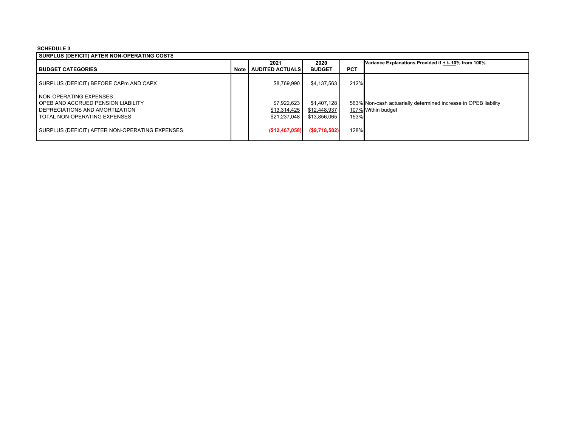## **SCHEDULE 3**

| SURPLUS (DEFICIT) AFTER NON-OPERATING COSTS    |        |                        |               |            |                                                                 |  |  |
|------------------------------------------------|--------|------------------------|---------------|------------|-----------------------------------------------------------------|--|--|
|                                                |        | 2021                   | 2020          |            | Variance Explanations Provided if + /- 10% from 100%            |  |  |
| <b>BUDGET CATEGORIES</b>                       | Note I | <b>AUDITED ACTUALS</b> | <b>BUDGET</b> | <b>PCT</b> |                                                                 |  |  |
| SURPLUS (DEFICIT) BEFORE CAPm AND CAPX         |        | \$8,769,990            | \$4,137,563   | 212%       |                                                                 |  |  |
| I NON-OPERATING EXPENSES                       |        |                        |               |            |                                                                 |  |  |
| OPEB AND ACCRUED PENSION LIABILITY             |        | \$7,922,623            | \$1,407,128   |            | 563% Non-cash actuarially determined increase in OPEB liability |  |  |
| DEPRECIATIONS AND AMORTIZATION                 |        | \$13,314,425           | \$12,448,937  |            | 107% Within budget                                              |  |  |
| TOTAL NON-OPERATING EXPENSES                   |        | \$21,237,048           | \$13,856,065  | 153%       |                                                                 |  |  |
| SURPLUS (DEFICIT) AFTER NON-OPERATING EXPENSES |        | (S12, 467, 058)        | (S9,718,502)  | 128%       |                                                                 |  |  |